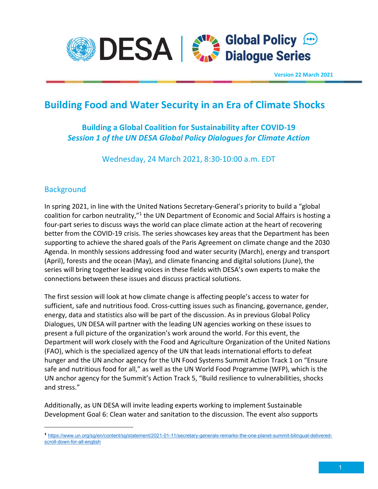

Version 22 March 2021

# Building Food and Water Security in an Era of Climate Shocks

# Building a Global Coalition for Sustainability after COVID-19 Session 1 of the UN DESA Global Policy Dialogues for Climate Action

Wednesday, 24 March 2021, 8:30-10:00 a.m. EDT

## **Background**

In spring 2021, in line with the United Nations Secretary-General's priority to build a "global coalition for carbon neutrality,"<sup>1</sup> the UN Department of Economic and Social Affairs is hosting a four-part series to discuss ways the world can place climate action at the heart of recovering better from the COVID-19 crisis. The series showcases key areas that the Department has been supporting to achieve the shared goals of the Paris Agreement on climate change and the 2030 Agenda. In monthly sessions addressing food and water security (March), energy and transport (April), forests and the ocean (May), and climate financing and digital solutions (June), the series will bring together leading voices in these fields with DESA's own experts to make the connections between these issues and discuss practical solutions.

The first session will look at how climate change is affecting people's access to water for sufficient, safe and nutritious food. Cross-cutting issues such as financing, governance, gender, energy, data and statistics also will be part of the discussion. As in previous Global Policy Dialogues, UN DESA will partner with the leading UN agencies working on these issues to present a full picture of the organization's work around the world. For this event, the Department will work closely with the Food and Agriculture Organization of the United Nations (FAO), which is the specialized agency of the UN that leads international efforts to defeat hunger and the UN anchor agency for the UN Food Systems Summit Action Track 1 on "Ensure safe and nutritious food for all," as well as the UN World Food Programme (WFP), which is the UN anchor agency for the Summit's Action Track 5, "Build resilience to vulnerabilities, shocks and stress."

Additionally, as UN DESA will invite leading experts working to implement Sustainable Development Goal 6: Clean water and sanitation to the discussion. The event also supports

<sup>1</sup> https://www.un.org/sg/en/content/sg/statement/2021-01-11/secretary-generals-remarks-the-one-planet-summit-bilingual-deliveredscroll-down-for-all-english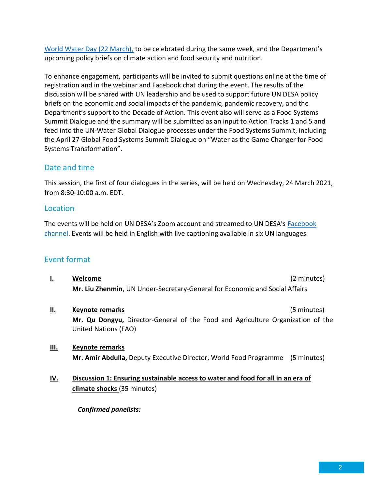World Water Day (22 March), to be celebrated during the same week, and the Department's upcoming policy briefs on climate action and food security and nutrition.

To enhance engagement, participants will be invited to submit questions online at the time of registration and in the webinar and Facebook chat during the event. The results of the discussion will be shared with UN leadership and be used to support future UN DESA policy briefs on the economic and social impacts of the pandemic, pandemic recovery, and the Department's support to the Decade of Action. This event also will serve as a Food Systems Summit Dialogue and the summary will be submitted as an input to Action Tracks 1 and 5 and feed into the UN-Water Global Dialogue processes under the Food Systems Summit, including the April 27 Global Food Systems Summit Dialogue on "Water as the Game Changer for Food Systems Transformation".

### Date and time

This session, the first of four dialogues in the series, will be held on Wednesday, 24 March 2021, from 8:30-10:00 a.m. EDT.

#### Location

The events will be held on UN DESA's Zoom account and streamed to UN DESA's Facebook channel. Events will be held in English with live captioning available in six UN languages.

#### Event format

- **I.** Welcome (2 minutes) Mr. Liu Zhenmin, UN Under-Secretary-General for Economic and Social Affairs
- II. Keynote remarks (5 minutes) Mr. Qu Dongyu, Director-General of the Food and Agriculture Organization of the United Nations (FAO)
- III. Keynote remarks Mr. Amir Abdulla, Deputy Executive Director, World Food Programme (5 minutes)
- IV. Discussion 1: Ensuring sustainable access to water and food for all in an era of climate shocks (35 minutes)

Confirmed panelists: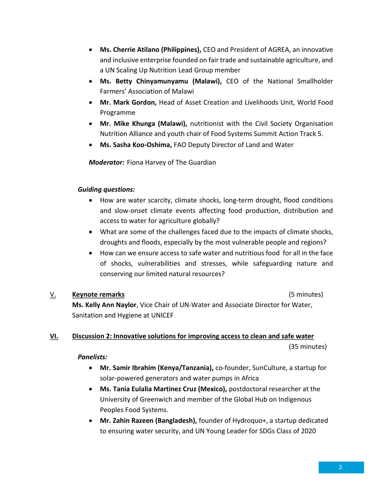- Ms. Cherrie Atilano (Philippines), CEO and President of AGREA, an innovative and inclusive enterprise founded on fair trade and sustainable agriculture, and a UN Scaling Up Nutrition Lead Group member
- Ms. Betty Chinyamunyamu (Malawi), CEO of the National Smallholder Farmers' Association of Malawi
- Mr. Mark Gordon, Head of Asset Creation and Livelihoods Unit, World Food Programme
- Mr. Mike Khunga (Malawi), nutritionist with the Civil Society Organisation Nutrition Alliance and youth chair of Food Systems Summit Action Track 5.
- Ms. Sasha Koo-Oshima, FAO Deputy Director of Land and Water

**Moderator:** Fiona Harvey of The Guardian

#### Guiding questions:

- How are water scarcity, climate shocks, long-term drought, flood conditions and slow-onset climate events affecting food production, distribution and access to water for agriculture globally?
- What are some of the challenges faced due to the impacts of climate shocks, droughts and floods, especially by the most vulnerable people and regions?
- How can we ensure access to safe water and nutritious food for all in the face of shocks, vulnerabilities and stresses, while safeguarding nature and conserving our limited natural resources?

#### V. Keynote remarks (5 minutes)

Ms. Kelly Ann Naylor, Vice Chair of UN-Water and Associate Director for Water, Sanitation and Hygiene at UNICEF

#### VI. Discussion 2: Innovative solutions for improving access to clean and safe water

(35 minutes)

#### Panelists:

- Mr. Samir Ibrahim (Kenya/Tanzania), co-founder, SunCulture, a startup for solar-powered generators and water pumps in Africa
- Ms. Tania Eulalia Martinez Cruz (Mexico), postdoctoral researcher at the University of Greenwich and member of the Global Hub on Indigenous Peoples Food Systems.
- Mr. Zahin Razeen (Bangladesh), founder of Hydroquo+, a startup dedicated to ensuring water security, and UN Young Leader for SDGs Class of 2020